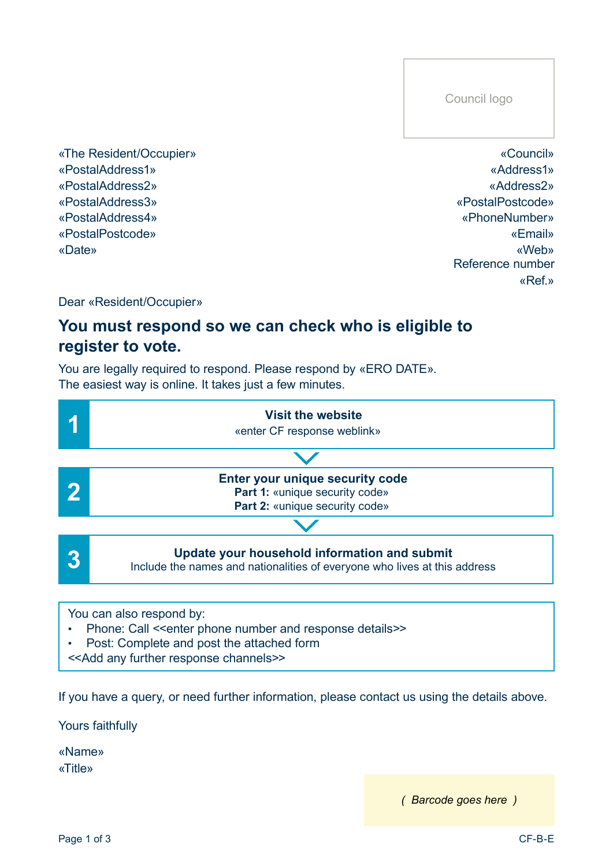Council logo

«The Resident/Occupier» «PostalAddress1» «PostalAddress2» «Date» «PostalAddress4» «PostalAddress3» «PostalPostcode»

«Council» «Address1» «Address2» «PostalPostcode» «Ref.» «Email» «PhoneNumber» «Web» Reference number

Dear «Resident/Occupier»

# **You must respond so we can check who is eligible to register to vote.**

You are legally required to respond. Please respond by «ERO DATE». The easiest way is online. It takes just a few minutes.



- Phone: Call << enter phone number and response details>>
- • Post: Complete and post the attached form
- <<Add any further response channels>>

If you have a query, or need further information, please contact us using the details above.

Yours faithfully

«Name» «Title»

*( Barcode goes here )*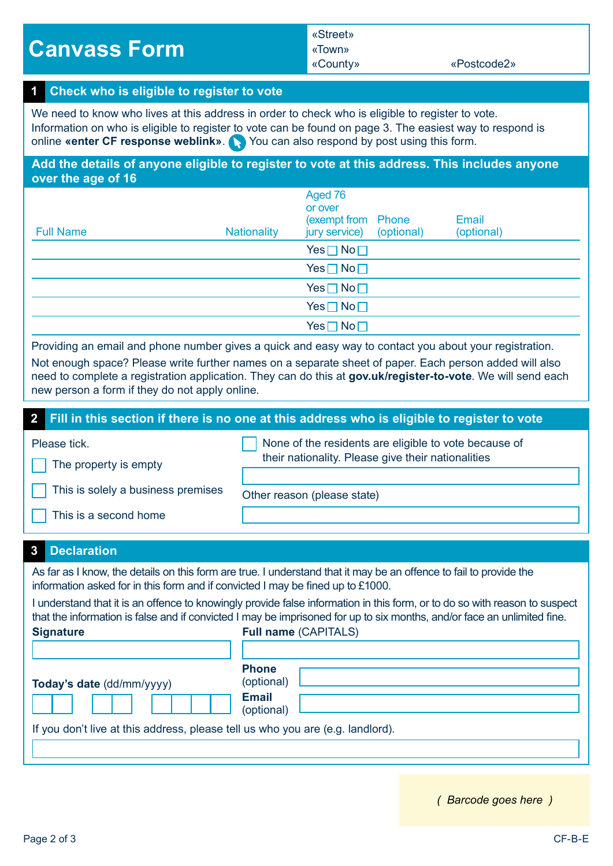**Canvass Form**

## «Street» «Town»

«County» «Postcode2»

## **Check who is eligible to register to vote 1**

We need to know who lives at this address in order to check who is eligible to register to vote. Information on who is eligible to register to vote can be found on page 3. The easiest way to respond is online **«enter CF response weblink». You can also respond by post using this form.** 

**Add the details of anyone eligible to register to vote at this address. This includes anyone over the age of 16**

| <b>Full Name</b> | <b>Nationality</b> | Aged 76<br>or over<br>(exempt from Phone)<br>jury service) (optional) | Email<br>(optional) |
|------------------|--------------------|-----------------------------------------------------------------------|---------------------|
|                  |                    | $Yes \Box No \Box$                                                    |                     |
|                  |                    | $Yes \Box No \Box$                                                    |                     |
|                  |                    | $Yes \Box No \Box$                                                    |                     |
|                  |                    | $Yes \Box No \Box$                                                    |                     |
|                  |                    | $Yes \Box No \Box$                                                    |                     |

Providing an email and phone number gives a quick and easy way to contact you about your registration. Not enough space? Please write further names on a separate sheet of paper. Each person added will also need to complete a registration application. They can do this at **gov.uk/register-to-vote**. We will send each new person a form if they do not apply online.

## **2 Fill in this section if there is no one at this address who is eligible to register to vote**

Please tick.

The property is empty

 None of the residents are eligible to vote because of their nationality. Please give their nationalities

This is solely a business premises

Other reason (please state)

This is a second home

## **3 Declaration**

As far as I know, the details on this form are true. I understand that it may be an offence to fail to provide the information asked for in this form and if convicted I may be fined up to £1000.

I understand that it is an offence to knowingly provide false information in this form, or to do so with reason to suspect that the information is false and if convicted I may be imprisoned for up to six months, and/or face an unlimited fine. **Signature Full name** (CAPITALS)

| Today's date (dd/mm/yyyy)<br>If you don't live at this address, please tell us who you are (e.g. landlord). | <b>Phone</b><br>(optional)<br><b>Email</b><br>(optional) |  |
|-------------------------------------------------------------------------------------------------------------|----------------------------------------------------------|--|
|-------------------------------------------------------------------------------------------------------------|----------------------------------------------------------|--|

*( Barcode goes here )*